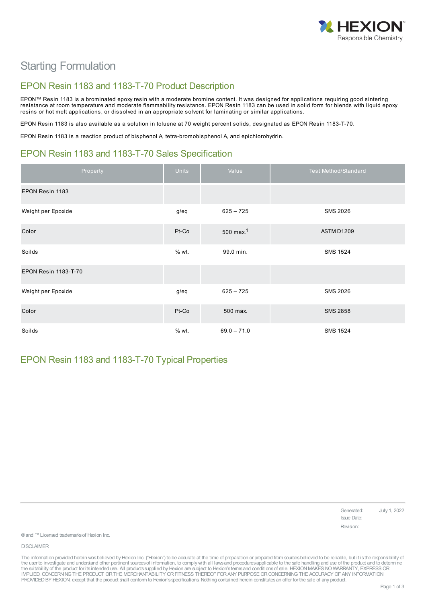

# Starting Formulation

### EPON Resin 1183 and 1183-T-70 Product Description

EPON™ Resin 1183 is a brominated epoxy resin with a moderate bromine content. It was designed for applications requiring good sintering resistance at room temperature and moderate flammability resistance. EPON Resin 1183 can be used in solid form for blends with liquid epoxy resins or hot melt applications, or dissolved in an appropriate solvent for laminating or similar applications.

EPON Resin 1183 is also available as a solution in toluene at 70 weight percent solids, designated as EPON Resin 1183-T-70.

EPON Resin 1183 is a reaction product of bisphenol A, tetra-bromobisphenol A, and epichlorohydrin.

# EPON Resin 1183 and 1183-T-70 Sales Specification

| Property                    | Units   | Value                   | Test Method/Standard |
|-----------------------------|---------|-------------------------|----------------------|
| EPON Resin 1183             |         |                         |                      |
| Weight per Epoxide          | g/eq    | $625 - 725$             | <b>SMS 2026</b>      |
| Color                       | Pt-Co   | $500$ max. <sup>1</sup> | ASTM D1209           |
| Soilds                      | % wt.   | 99.0 min.               | <b>SMS 1524</b>      |
| <b>EPON Resin 1183-T-70</b> |         |                         |                      |
| Weight per Epoxide          | g/eq    | $625 - 725$             | <b>SMS 2026</b>      |
| Color                       | Pt-Co   | 500 max.                | <b>SMS 2858</b>      |
| Soilds                      | $%$ wt. | $69.0 - 71.0$           | <b>SMS 1524</b>      |

### EPON Resin 1183 and 1183-T-70 Typical Properties

Generated: July 1, 2022 Issue Date: Revision:

® and ™ Licensed trademarks of Hexion Inc.

DISCLAIMER

The information provided herein was believed by Hexion Inc. ("Hexion") to be accurate at the time of preparation or prepared from sources believed to be reliable, but it is the responsibility of the user to investigate and understand other pertinent sources of information, to comply with all laws and procedures applicable to the safe handling and use of the product and to determine the suitability of the product for its intended use. All products supplied by Hexion are subject to Hexion's terms and conditions of sale. HEXION MAKES NO WARRANTY, EXPRESS OR<br>IMPLIED, CONCERNING THE PRODUCT OR THE MERCHAN PROVIDEDBY HEXION, except that the product shall conform to Hexion'sspecifications. Nothing contained herein constitutesan offer for the sale of any product.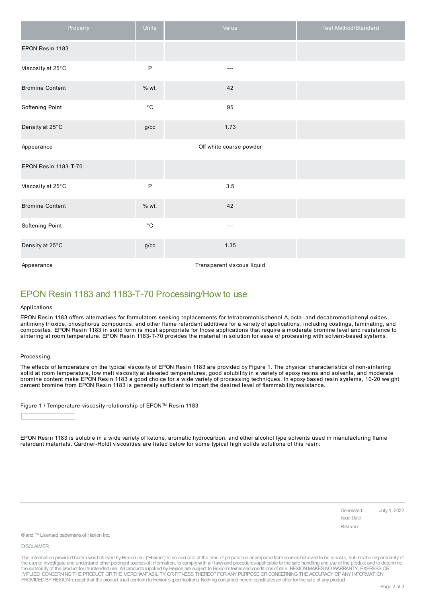| Property               | Units             | Value                      | Test Method/Standard |
|------------------------|-------------------|----------------------------|----------------------|
| EPON Resin 1183        |                   |                            |                      |
| Viscosity at 25°C      | P                 | $---$                      |                      |
| <b>Bromine Content</b> | % wt.             | 42                         |                      |
| Softening Point        | $^{\circ}{\rm C}$ | 95                         |                      |
| Density at 25°C        | g/cc              | 1.73                       |                      |
| Appearance             |                   | Off white coarse powder    |                      |
| EPON Resin 1183-T-70   |                   |                            |                      |
| Viscosity at 25°C      | $\sf P$           | 3.5                        |                      |
| <b>Bromine Content</b> | % wt.             | 42                         |                      |
| Softening Point        | $^{\circ}{\rm C}$ | $---$                      |                      |
| Density at 25°C        | $g/\mathrm{cc}$   | 1.35                       |                      |
| Appearance             |                   | Transparent viscous liquid |                      |

### EPON Resin 1183 and 1183-T-70 Processing/How to use

#### Applications

EPON Resin 1183 offers alternatives for formulators seeking replacements for tetrabromobisphenol A, octa- and decabromodiphenyl oxides, antimony trioxide, phosphorus compounds, and other flame retardant additives for a variety of applications, including coatings, laminating, and composites. EPON Resin 1183 in solid form is most appropriate for those applications that require a moderate bromine level and resistance to sintering at room temperature. EPON Resin 1183-T-70 provides the material in solution for ease of processing with solvent-based systems.

#### Processing

The effects of temperature on the typical viscosity of EPON Resin 1183 are provided by Figure 1. The physical characteristics of non-sintering solid at room temperature, low melt viscosity at elevated temperatures, good solubility in a variety of epoxy resins and solvents, and moderate bromine content make EPON Resin 1183 a good choice for a wide variety of processing techniques. In epoxy based resin systems, 10-20 weight percent bromine from EPON Resin 1183 is generally sufficient to impart the desired level of flammability resistance.

Figure 1 / Temperature-viscosity relationship of EPON™ Resin 1183

EPON Resin 1183 is soluble in a wide variety of ketone, aromatic hydrocarbon, and ether alcohol type solvents used in manufacturing flame retardant materials. Gardner-Holdt viscosities are listed below for some typical high solids solutions of this resin:

> Generated: July 1, 2022 Issue Date: Revision:

® and ™ Licensed trademarks of Hexion Inc.

DISCLAIMER

The information provided herein was believed by Hexion Inc. ("Hexion") to be accurate at the time of preparation or prepared from sources believed to be reliable, but it is the responsibility of the user to investigate and understand other pertinent sources of information, to comply with all laws and procedures applicable to the safe handling and use of the product and to determine the suitability of the product for its intended use. All products supplied by Hexion are subject to Hexion's terms and conditions of sale. HEXION MAKES NO WARRANTY, EXPRESS OR<br>IMPLIED, CONCERNING THE PRODUCT OR THE MERCHAN PROVIDED BY HEXION, except that the product shall conform to Hexion's specifications. Nothing contained herein constitutes an offer for the sale of any product.